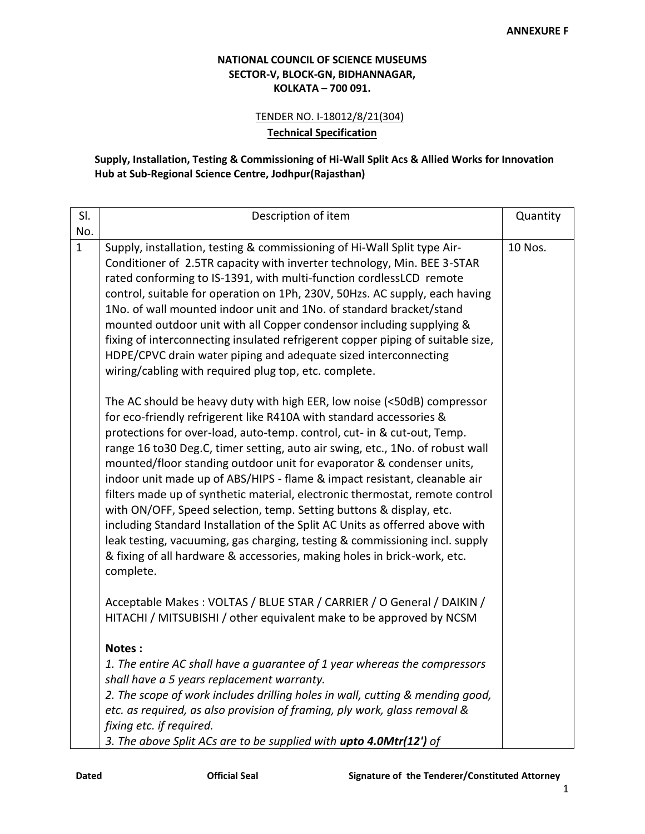## **NATIONAL COUNCIL OF SCIENCE MUSEUMS SECTOR-V, BLOCK-GN, BIDHANNAGAR, KOLKATA – 700 091.**

TENDER NO. I-18012/8/21(304)

**Technical Specification**

## **Supply, Installation, Testing & Commissioning of Hi-Wall Split Acs & Allied Works for Innovation Hub at Sub-Regional Science Centre, Jodhpur(Rajasthan)**

| SI.          | Description of item                                                                                                                                                                                                                                                                                                                                                                                                                                                                                                                                                                                                                                                                                                                                                                                                                                                              | Quantity |
|--------------|----------------------------------------------------------------------------------------------------------------------------------------------------------------------------------------------------------------------------------------------------------------------------------------------------------------------------------------------------------------------------------------------------------------------------------------------------------------------------------------------------------------------------------------------------------------------------------------------------------------------------------------------------------------------------------------------------------------------------------------------------------------------------------------------------------------------------------------------------------------------------------|----------|
| No.          |                                                                                                                                                                                                                                                                                                                                                                                                                                                                                                                                                                                                                                                                                                                                                                                                                                                                                  |          |
| $\mathbf{1}$ | Supply, installation, testing & commissioning of Hi-Wall Split type Air-<br>Conditioner of 2.5TR capacity with inverter technology, Min. BEE 3-STAR<br>rated conforming to IS-1391, with multi-function cordlessLCD remote<br>control, suitable for operation on 1Ph, 230V, 50Hzs. AC supply, each having<br>1No. of wall mounted indoor unit and 1No. of standard bracket/stand<br>mounted outdoor unit with all Copper condensor including supplying &<br>fixing of interconnecting insulated refrigerent copper piping of suitable size,<br>HDPE/CPVC drain water piping and adequate sized interconnecting<br>wiring/cabling with required plug top, etc. complete.                                                                                                                                                                                                          | 10 Nos.  |
|              | The AC should be heavy duty with high EER, low noise (<50dB) compressor<br>for eco-friendly refrigerent like R410A with standard accessories &<br>protections for over-load, auto-temp. control, cut- in & cut-out, Temp.<br>range 16 to 30 Deg.C, timer setting, auto air swing, etc., 1No. of robust wall<br>mounted/floor standing outdoor unit for evaporator & condenser units,<br>indoor unit made up of ABS/HIPS - flame & impact resistant, cleanable air<br>filters made up of synthetic material, electronic thermostat, remote control<br>with ON/OFF, Speed selection, temp. Setting buttons & display, etc.<br>including Standard Installation of the Split AC Units as offerred above with<br>leak testing, vacuuming, gas charging, testing & commissioning incl. supply<br>& fixing of all hardware & accessories, making holes in brick-work, etc.<br>complete. |          |
|              | Acceptable Makes: VOLTAS / BLUE STAR / CARRIER / O General / DAIKIN /<br>HITACHI / MITSUBISHI / other equivalent make to be approved by NCSM                                                                                                                                                                                                                                                                                                                                                                                                                                                                                                                                                                                                                                                                                                                                     |          |
|              | Notes:<br>1. The entire AC shall have a guarantee of 1 year whereas the compressors<br>shall have a 5 years replacement warranty.<br>2. The scope of work includes drilling holes in wall, cutting & mending good,<br>etc. as required, as also provision of framing, ply work, glass removal &<br>fixing etc. if required.                                                                                                                                                                                                                                                                                                                                                                                                                                                                                                                                                      |          |
|              | 3. The above Split ACs are to be supplied with upto 4.0Mtr(12') of                                                                                                                                                                                                                                                                                                                                                                                                                                                                                                                                                                                                                                                                                                                                                                                                               |          |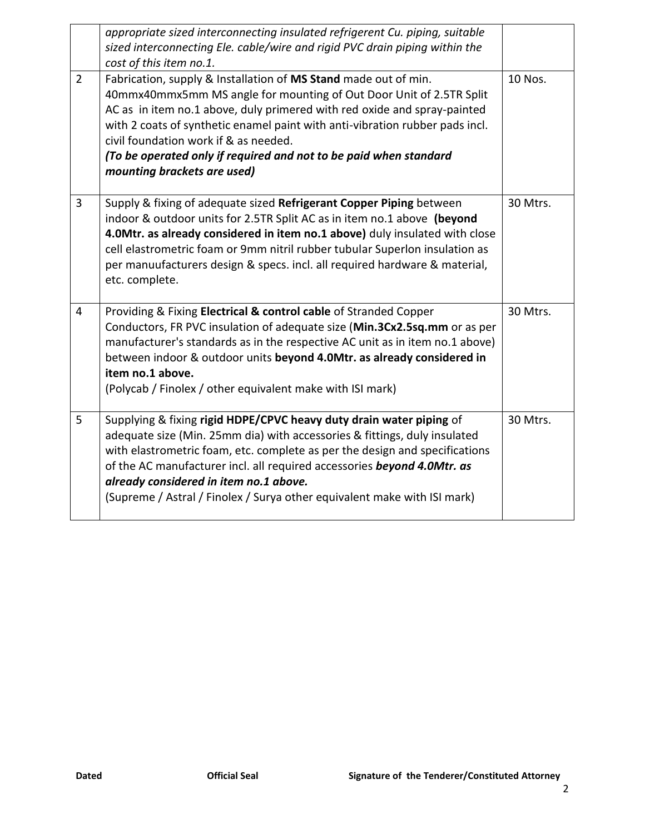|                | appropriate sized interconnecting insulated refrigerent Cu. piping, suitable<br>sized interconnecting Ele. cable/wire and rigid PVC drain piping within the<br>cost of this item no.1.                                                                                                                                                                                                                                                          |          |
|----------------|-------------------------------------------------------------------------------------------------------------------------------------------------------------------------------------------------------------------------------------------------------------------------------------------------------------------------------------------------------------------------------------------------------------------------------------------------|----------|
| $\overline{2}$ | Fabrication, supply & Installation of MS Stand made out of min.<br>40mmx40mmx5mm MS angle for mounting of Out Door Unit of 2.5TR Split<br>AC as in item no.1 above, duly primered with red oxide and spray-painted<br>with 2 coats of synthetic enamel paint with anti-vibration rubber pads incl.<br>civil foundation work if & as needed.<br>(To be operated only if required and not to be paid when standard<br>mounting brackets are used) | 10 Nos.  |
| $\overline{3}$ | Supply & fixing of adequate sized Refrigerant Copper Piping between<br>indoor & outdoor units for 2.5TR Split AC as in item no.1 above (beyond<br>4.0Mtr. as already considered in item no.1 above) duly insulated with close<br>cell elastrometric foam or 9mm nitril rubber tubular Superlon insulation as<br>per manuufacturers design & specs. incl. all required hardware & material,<br>etc. complete.                                    | 30 Mtrs. |
| $\overline{4}$ | Providing & Fixing Electrical & control cable of Stranded Copper<br>Conductors, FR PVC insulation of adequate size (Min.3Cx2.5sq.mm or as per<br>manufacturer's standards as in the respective AC unit as in item no.1 above)<br>between indoor & outdoor units beyond 4.0Mtr. as already considered in<br>item no.1 above.<br>(Polycab / Finolex / other equivalent make with ISI mark)                                                        | 30 Mtrs. |
| 5              | Supplying & fixing rigid HDPE/CPVC heavy duty drain water piping of<br>adequate size (Min. 25mm dia) with accessories & fittings, duly insulated<br>with elastrometric foam, etc. complete as per the design and specifications<br>of the AC manufacturer incl. all required accessories beyond 4.0Mtr. as<br>already considered in item no.1 above.<br>(Supreme / Astral / Finolex / Surya other equivalent make with ISI mark)                | 30 Mtrs. |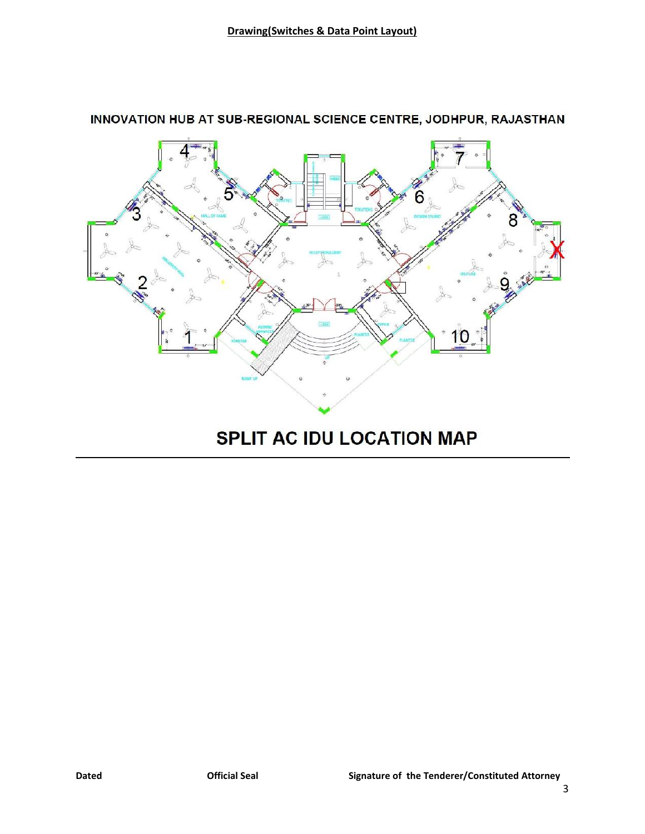

## INNOVATION HUB AT SUB-REGIONAL SCIENCE CENTRE, JODHPUR, RAJASTHAN